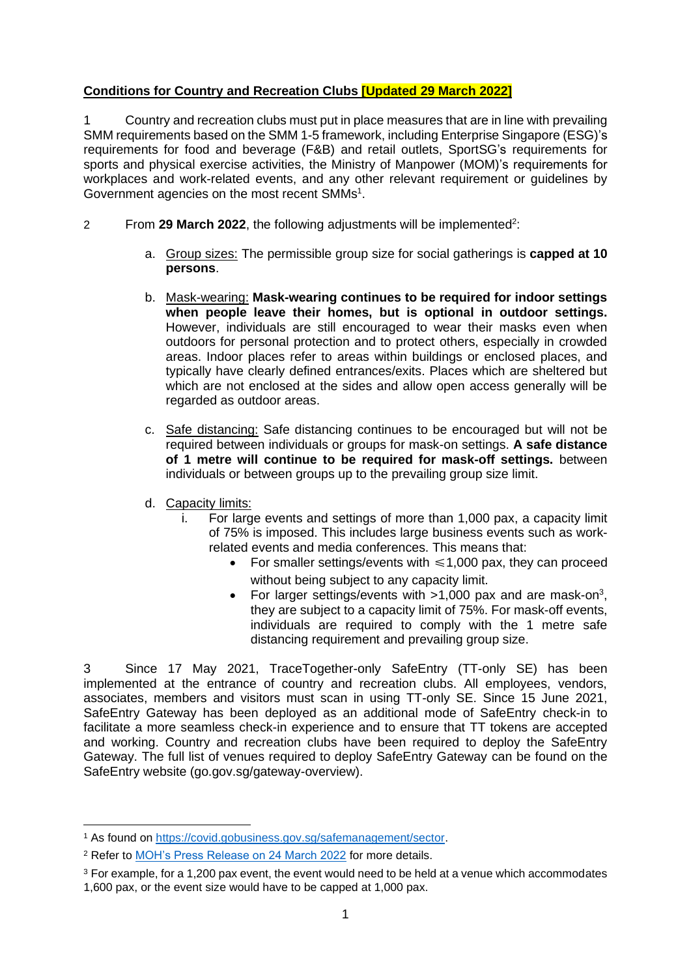## **Conditions for Country and Recreation Clubs [Updated 29 March 2022]**

1 Country and recreation clubs must put in place measures that are in line with prevailing SMM requirements based on the SMM 1-5 framework, including Enterprise Singapore (ESG)'s requirements for food and beverage (F&B) and retail outlets, SportSG's requirements for sports and physical exercise activities, the Ministry of Manpower (MOM)'s requirements for workplaces and work-related events, and any other relevant requirement or guidelines by Government agencies on the most recent SMMs<sup>1</sup>.

- 2 From 29 March 2022, the following adjustments will be implemented<sup>2</sup>:
	- a. Group sizes: The permissible group size for social gatherings is **capped at 10 persons**.
	- b. Mask-wearing: **Mask-wearing continues to be required for indoor settings when people leave their homes, but is optional in outdoor settings.**  However, individuals are still encouraged to wear their masks even when outdoors for personal protection and to protect others, especially in crowded areas. Indoor places refer to areas within buildings or enclosed places, and typically have clearly defined entrances/exits. Places which are sheltered but which are not enclosed at the sides and allow open access generally will be regarded as outdoor areas.
	- c. Safe distancing: Safe distancing continues to be encouraged but will not be required between individuals or groups for mask-on settings. **A safe distance of 1 metre will continue to be required for mask-off settings.** between individuals or between groups up to the prevailing group size limit.
	- d. Capacity limits:
		- i. For large events and settings of more than 1,000 pax, a capacity limit of 75% is imposed. This includes large business events such as workrelated events and media conferences. This means that:
			- For smaller settings/events with  $\leq 1,000$  pax, they can proceed without being subject to any capacity limit.
			- For larger settings/events with  $>1,000$  pax and are mask-on<sup>3</sup>, they are subject to a capacity limit of 75%. For mask-off events, individuals are required to comply with the 1 metre safe distancing requirement and prevailing group size.

3 Since 17 May 2021, TraceTogether-only SafeEntry (TT-only SE) has been implemented at the entrance of country and recreation clubs. All employees, vendors, associates, members and visitors must scan in using TT-only SE. Since 15 June 2021, SafeEntry Gateway has been deployed as an additional mode of SafeEntry check-in to facilitate a more seamless check-in experience and to ensure that TT tokens are accepted and working. Country and recreation clubs have been required to deploy the SafeEntry Gateway. The full list of venues required to deploy SafeEntry Gateway can be found on the SafeEntry website (go.gov.sg/gateway-overview).

<sup>1</sup> As found on [https://covid.gobusiness.gov.sg/safemanagement/sector.](https://covid.gobusiness.gov.sg/safemanagement/sector)

<sup>2</sup> Refer to [MOH's Press Release on 24 March 2022](https://www.moh.gov.sg/news-highlights/details/easing-of-community-smms-and-border-measures) for more details.

<sup>&</sup>lt;sup>3</sup> For example, for a 1,200 pax event, the event would need to be held at a venue which accommodates 1,600 pax, or the event size would have to be capped at 1,000 pax.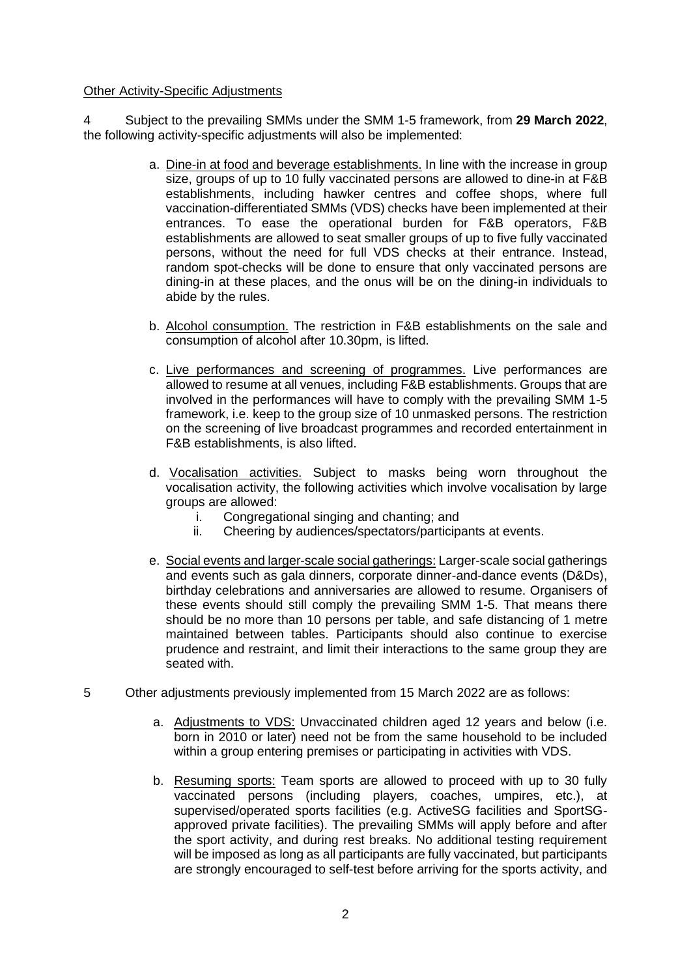## Other Activity-Specific Adjustments

4 Subject to the prevailing SMMs under the SMM 1-5 framework, from **29 March 2022**, the following activity-specific adjustments will also be implemented:

- a. Dine-in at food and beverage establishments. In line with the increase in group size, groups of up to 10 fully vaccinated persons are allowed to dine-in at F&B establishments, including hawker centres and coffee shops, where full vaccination-differentiated SMMs (VDS) checks have been implemented at their entrances. To ease the operational burden for F&B operators, F&B establishments are allowed to seat smaller groups of up to five fully vaccinated persons, without the need for full VDS checks at their entrance. Instead, random spot-checks will be done to ensure that only vaccinated persons are dining-in at these places, and the onus will be on the dining-in individuals to abide by the rules.
- b. Alcohol consumption. The restriction in F&B establishments on the sale and consumption of alcohol after 10.30pm, is lifted.
- c. Live performances and screening of programmes. Live performances are allowed to resume at all venues, including F&B establishments. Groups that are involved in the performances will have to comply with the prevailing SMM 1-5 framework, i.e. keep to the group size of 10 unmasked persons. The restriction on the screening of live broadcast programmes and recorded entertainment in F&B establishments, is also lifted.
- d. Vocalisation activities. Subject to masks being worn throughout the vocalisation activity, the following activities which involve vocalisation by large groups are allowed:
	- i. Congregational singing and chanting; and
	- ii. Cheering by audiences/spectators/participants at events.
- e. Social events and larger-scale social gatherings: Larger-scale social gatherings and events such as gala dinners, corporate dinner-and-dance events (D&Ds), birthday celebrations and anniversaries are allowed to resume. Organisers of these events should still comply the prevailing SMM 1-5. That means there should be no more than 10 persons per table, and safe distancing of 1 metre maintained between tables. Participants should also continue to exercise prudence and restraint, and limit their interactions to the same group they are seated with.
- 5 Other adjustments previously implemented from 15 March 2022 are as follows:
	- a. Adjustments to VDS: Unvaccinated children aged 12 years and below (i.e. born in 2010 or later) need not be from the same household to be included within a group entering premises or participating in activities with VDS.
	- b. Resuming sports: Team sports are allowed to proceed with up to 30 fully vaccinated persons (including players, coaches, umpires, etc.), at supervised/operated sports facilities (e.g. ActiveSG facilities and SportSGapproved private facilities). The prevailing SMMs will apply before and after the sport activity, and during rest breaks. No additional testing requirement will be imposed as long as all participants are fully vaccinated, but participants are strongly encouraged to self-test before arriving for the sports activity, and